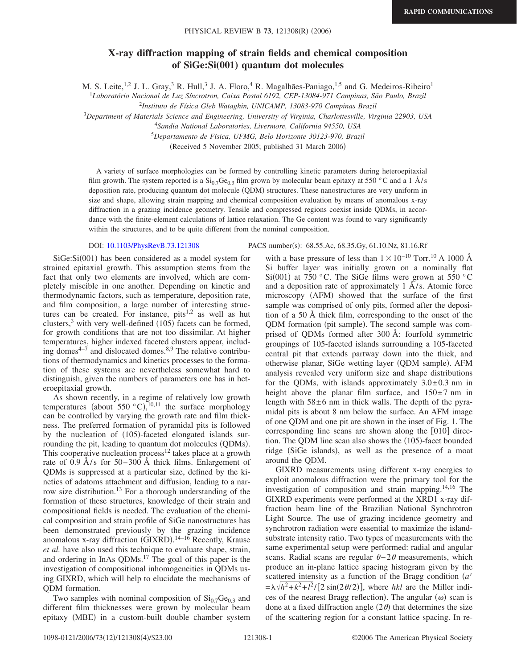## **X-ray diffraction mapping of strain fields and chemical composition of SiGe:Si(001) quantum dot molecules**

M. S. Leite,<sup>1,2</sup> J. L. Gray,<sup>3</sup> R. Hull,<sup>3</sup> J. A. Floro,<sup>4</sup> R. Magalhães-Paniago,<sup>1,5</sup> and G. Medeiros-Ribeiro<sup>1</sup>

<sup>1</sup>*Laboratório Nacional de Luz Síncrotron, Caixa Postal 6192, CEP-13084-971 Campinas, São Paulo, Brazil*

<sup>2</sup>*Instituto de Física Gleb Wataghin, UNICAMP, 13083-970 Campinas Brazil*

<sup>3</sup>*Department of Materials Science and Engineering, University of Virginia, Charlottesville, Virginia 22903, USA*

4 *Sandia National Laboratories, Livermore, California 94550, USA*

<sup>5</sup>*Departamento de Física, UFMG, Belo Horizonte 30123-970, Brazil*

(Received 5 November 2005; published 31 March 2006)

A variety of surface morphologies can be formed by controlling kinetic parameters during heteroepitaxial film growth. The system reported is a  $Si<sub>0.7</sub>Ge<sub>0.3</sub>$  film grown by molecular beam epitaxy at 550 °C and a 1 Å/s deposition rate, producing quantum dot molecule (QDM) structures. These nanostructures are very uniform in size and shape, allowing strain mapping and chemical composition evaluation by means of anomalous x-ray diffraction in a grazing incidence geometry. Tensile and compressed regions coexist inside QDMs, in accordance with the finite-element calculations of lattice relaxation. The Ge content was found to vary significantly within the structures, and to be quite different from the nominal composition.

## DOI: [10.1103/PhysRevB.73.121308](http://dx.doi.org/10.1103/PhysRevB.73.121308)

SiGe: Si(001) has been considered as a model system for strained epitaxial growth. This assumption stems from the fact that only two elements are involved, which are completely miscible in one another. Depending on kinetic and thermodynamic factors, such as temperature, deposition rate, and film composition, a large number of interesting structures can be created. For instance, pits<sup>1,2</sup> as well as hut clusters,<sup>3</sup> with very well-defined  $(105)$  facets can be formed, for growth conditions that are not too dissimilar. At higher temperatures, higher indexed faceted clusters appear, including domes $4-7$  and dislocated domes. $8.9$  The relative contributions of thermodynamics and kinetics processes to the formation of these systems are nevertheless somewhat hard to distinguish, given the numbers of parameters one has in heteroepitaxial growth.

As shown recently, in a regime of relatively low growth temperatures (about 550 °C),  $^{10,11}$  the surface morphology can be controlled by varying the growth rate and film thickness. The preferred formation of pyramidal pits is followed by the nucleation of (105)-faceted elongated islands surrounding the pit, leading to quantum dot molecules (QDMs). This cooperative nucleation process<sup>12</sup> takes place at a growth rate of 0.9 Å/s for 50–300 Å thick films. Enlargement of QDMs is suppressed at a particular size, defined by the kinetics of adatoms attachment and diffusion, leading to a narrow size distribution.13 For a thorough understanding of the formation of these structures, knowledge of their strain and compositional fields is needed. The evaluation of the chemical composition and strain profile of SiGe nanostructures has been demonstrated previously by the grazing incidence anomalous x-ray diffraction (GIXRD).<sup>14-16</sup> Recently, Krause *et al.* have also used this technique to evaluate shape, strain, and ordering in InAs QDMs.17 The goal of this paper is the investigation of compositional inhomogeneities in QDMs using GIXRD, which will help to elucidate the mechanisms of QDM formation.

Two samples with nominal composition of  $Si<sub>0.7</sub>Ge<sub>0.3</sub>$  and different film thicknesses were grown by molecular beam epitaxy (MBE) in a custom-built double chamber system

PACS number(s): 68.55.Ac, 68.35.Gy, 61.10.Nz, 81.16.Rf

with a base pressure of less than  $1 \times 10^{-10}$  Torr.<sup>10</sup> A 1000 Å Si buffer layer was initially grown on a nominally flat Si(001) at 750 °C. The SiGe films were grown at 550 °C and a deposition rate of approximately 1 Å/s. Atomic force microscopy (AFM) showed that the surface of the first sample was comprised of only pits, formed after the deposition of a 50 Å thick film, corresponding to the onset of the QDM formation (pit sample). The second sample was comprised of QDMs formed after 300 Å: fourfold symmetric groupings of 105-faceted islands surrounding a 105-faceted central pit that extends partway down into the thick, and otherwise planar, SiGe wetting layer (QDM sample). AFM analysis revealed very uniform size and shape distributions for the QDMs, with islands approximately  $3.0\pm0.3$  nm in height above the planar film surface, and  $150\pm7$  nm in length with  $58\pm6$  nm in thick walls. The depth of the pyramidal pits is about 8 nm below the surface. An AFM image of one QDM and one pit are shown in the inset of Fig. 1. The corresponding line scans are shown along the  $[010]$  direction. The QDM line scan also shows the (105)-facet bounded ridge (SiGe islands), as well as the presence of a moat around the QDM.

GIXRD measurements using different x-ray energies to exploit anomalous diffraction were the primary tool for the investigation of composition and strain mapping.<sup>14,16</sup> The GIXRD experiments were performed at the XRD1 x-ray diffraction beam line of the Brazilian National Synchrotron Light Source. The use of grazing incidence geometry and synchrotron radiation were essential to maximize the islandsubstrate intensity ratio. Two types of measurements with the same experimental setup were performed: radial and angular scans. Radial scans are regular  $\theta - 2\theta$  measurements, which produce an in-plane lattice spacing histogram given by the scattered intensity as a function of the Bragg condition *a*  $= \lambda \sqrt{h^2 + k^2 + l^2}$  [2 sin(2*0*/2)], where *hkl* are the Miller indices of the nearest Bragg reflection). The angular  $(\omega)$  scan is done at a fixed diffraction angle  $(2\theta)$  that determines the size of the scattering region for a constant lattice spacing. In re-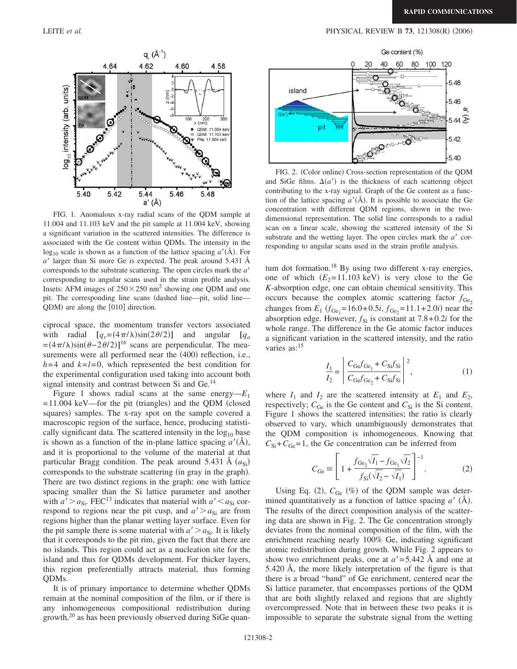## LEITE *et al.* **PHYSICAL REVIEW B 73**, 121308(R) (2006)



FIG. 1. Anomalous x-ray radial scans of the QDM sample at 11.004 and 11.103 keV and the pit sample at 11.004 keV, showing a significant variation in the scattered intensities. The difference is associated with the Ge content within QDMs. The intensity in the  $log_{10}$  scale is shown as a function of the lattice spacing  $a'(\text{\AA})$ . For *a* larger than Si more Ge is expected. The peak around 5.431 Å corresponds to the substrate scattering. The open circles mark the *a* corresponding to angular scans used in the strain profile analysis. Insets: AFM images of  $250 \times 250$  nm<sup>2</sup> showing one QDM and one pit. The corresponding line scans dashed line—pit, solid line— QDM) are along the [010] direction.

ciprocal space, the momentum transfer vectors associated with radial  $[q_r=(4\pi/\lambda)\sin(2\theta/2)]$  and angular  $[q_a$  $=(4\pi/\lambda)\sin(\theta-2\theta/2)$ <sup>16</sup> scans are perpendicular. The measurements were all performed near the (400) reflection, i.e.,  $h=4$  and  $k=l=0$ , which represented the best condition for the experimental configuration used taking into account both signal intensity and contrast between Si and Ge.<sup>14</sup>

Figure 1 shows radial scans at the same energy— $E_1$  $=11.004$  keV—for the pit (triangles) and the QDM (closed squares) samples. The x-ray spot on the sample covered a macroscopic region of the surface, hence, producing statistically significant data. The scattered intensity in the  $log_{10}$  base is shown as a function of the in-plane lattice spacing  $a'(\AA)$ , and it is proportional to the volume of the material at that particular Bragg condition. The peak around 5.431 Å  $(a_{si})$ corresponds to the substrate scattering (in gray in the graph). There are two distinct regions in the graph: one with lattice spacing smaller than the Si lattice parameter and another with  $a' > a_{Si}$ . FEC<sup>13</sup> indicates that material with  $a' < a_{Si}$  correspond to regions near the pit cusp, and  $a' > a_{Si}$  are from regions higher than the planar wetting layer surface. Even for the pit sample there is some material with  $a' > a_{Si}$ . It is likely that it corresponds to the pit rim, given the fact that there are no islands. This region could act as a nucleation site for the island and thus for QDMs development. For thicker layers, this region preferentially attracts material, thus forming QDMs.

It is of primary importance to determine whether QDMs remain at the nominal composition of the film, or if there is any inhomogeneous compositional redistribution during growth,20 as has been previously observed during SiGe quan-



FIG. 2. (Color online) Cross-section representation of the QDM and SiGe films.  $\Delta(a')$  is the thickness of each scattering object contributing to the x-ray signal. Graph of the Ge content as a function of the lattice spacing  $a'(\text{A})$ . It is possible to associate the Ge concentration with different QDM regions, shown in the twodimensional representation. The solid line corresponds to a radial scan on a linear scale, showing the scattered intensity of the Si substrate and the wetting layer. The open circles mark the  $a'$  corresponding to angular scans used in the strain profile analysis.

tum dot formation.<sup>18</sup> By using two different x-ray energies, one of which  $(E_2=11.103 \text{ keV})$  is very close to the Ge *K*-absorption edge, one can obtain chemical sensitivity. This occurs because the complex atomic scattering factor  $f_{\text{Ge}_2}$ changes from  $E_1$  ( $f_{\text{Ge}_1}$ =16.0+0.5*i*,  $f_{\text{Ge}_2}$ =11.1+2.0*i*) near the absorption edge. However,  $f_{\text{Si}}$  is constant at 7.8+0.2*i* for the whole range. The difference in the Ge atomic factor induces a significant variation in the scattered intensity, and the ratio varies as:<sup>15</sup>

$$
\frac{I_1}{I_2} = \left| \frac{C_{\text{Ge}} f_{\text{Ge}_1} + C_{\text{Si}} f_{\text{Si}}}{C_{\text{Ge}} f_{\text{Ge}_2} + C_{\text{Si}} f_{\text{Si}}} \right|^2, \tag{1}
$$

where  $I_1$  and  $I_2$  are the scattered intensity at  $E_1$  and  $E_2$ , respectively;  $C_{\text{Ge}}$  is the Ge content and  $C_{\text{Si}}$  is the Si content. Figure 1 shows the scattered intensities; the ratio is clearly observed to vary, which unambiguously demonstrates that the QDM composition is inhomogeneous. Knowing that  $C_{\text{Si}}+C_{\text{Ge}}=1$ , the Ge concentration can be inferred from

$$
C_{\text{Ge}} \cong \left[ 1 + \frac{f_{\text{Ge}_2} \sqrt{I_1} - f_{\text{Ge}_1} \sqrt{I_2}}{f_{\text{Si}}(\sqrt{I_2} - \sqrt{I_1})} \right]^{-1}.
$$
 (2)

Using Eq. (2),  $C_{\text{Ge}}$  (%) of the QDM sample was determined quantitatively as a function of lattice spacing  $a'$  ( $\AA$ ). The results of the direct composition analysis of the scattering data are shown in Fig. 2. The Ge concentration strongly deviates from the nominal composition of the film, with the enrichment reaching nearly 100% Ge, indicating significant atomic redistribution during growth. While Fig. 2 appears to show two enrichment peaks, one at  $a' = 5.442$  Å and one at 5.420 Å, the more likely interpretation of the figure is that there is a broad "band" of Ge enrichment, centered near the Si lattice parameter, that encompasses portions of the QDM that are both slightly relaxed and regions that are slightly overcompressed. Note that in between these two peaks it is impossible to separate the substrate signal from the wetting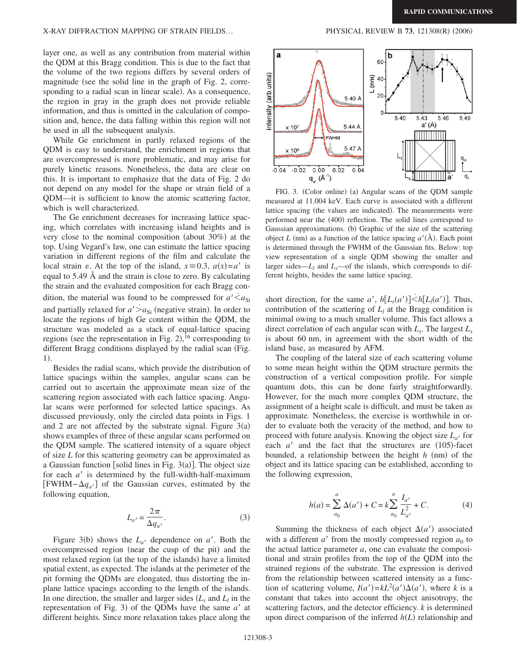## X-RAY DIFFRACTION MAPPING OF STRAIN FIELDS...

layer one, as well as any contribution from material within the QDM at this Bragg condition. This is due to the fact that the volume of the two regions differs by several orders of magnitude (see the solid line in the graph of Fig. 2, corresponding to a radial scan in linear scale). As a consequence, the region in gray in the graph does not provide reliable information, and thus is omitted in the calculation of composition and, hence, the data falling within this region will not be used in all the subsequent analysis.

While Ge enrichment in partly relaxed regions of the QDM is easy to understand, the enrichment in regions that are overcompressed is more problematic, and may arise for purely kinetic reasons. Nonetheless, the data are clear on this. It is important to emphasize that the data of Fig. 2 do not depend on any model for the shape or strain field of a QDM—it is sufficient to know the atomic scattering factor, which is well characterized.

The Ge enrichment decreases for increasing lattice spacing, which correlates with increasing island heights and is very close to the nominal composition (about  $30\%$ ) at the top. Using Vegard's law, one can estimate the lattice spacing variation in different regions of the film and calculate the local strain  $\varepsilon$ . At the top of the island,  $x \approx 0.3$ ,  $a(x) = a'$  is equal to 5.49 Å and the strain is close to zero. By calculating the strain and the evaluated composition for each Bragg condition, the material was found to be compressed for  $a' < a_{\rm Si}$ and partially relaxed for  $a' > a_{\text{Si}}$  (negative strain). In order to locate the regions of high Ge content within the QDM, the structure was modeled as a stack of equal-lattice spacing regions (see the representation in Fig.  $2$ ), <sup>16</sup> corresponding to different Bragg conditions displayed by the radial scan (Fig. 1).

Besides the radial scans, which provide the distribution of lattice spacings within the samples, angular scans can be carried out to ascertain the approximate mean size of the scattering region associated with each lattice spacing. Angular scans were performed for selected lattice spacings. As discussed previously, only the circled data points in Figs. 1 and 2 are not affected by the substrate signal. Figure  $3(a)$ shows examples of three of these angular scans performed on the QDM sample. The scattered intensity of a square object of size *L* for this scattering geometry can be approximated as a Gaussian function [solid lines in Fig.  $3(a)$ ]. The object size for each  $a'$  is determined by the full-width-half-maximum  $[FWHM - \Delta q_{a'}]$  of the Gaussian curves, estimated by the following equation,

$$
L_{a'} = \frac{2\pi}{\Delta q_{a'}}.\tag{3}
$$

Figure 3(b) shows the  $L_{a'}$  dependence on  $a'$ . Both the overcompressed region (near the cusp of the pit) and the most relaxed region (at the top of the islands) have a limited spatial extent, as expected. The islands at the perimeter of the pit forming the QDMs are elongated, thus distorting the inplane lattice spacings according to the length of the islands. In one direction, the smaller and larger sides  $(L_s \text{ and } L_l \text{ in the})$ representation of Fig. 3) of the QDMs have the same  $a'$  at different heights. Since more relaxation takes place along the

 $(2006)$ 



FIG. 3. (Color online) (a) Angular scans of the QDM sample measured at 11.004 keV. Each curve is associated with a different lattice spacing (the values are indicated). The measurements were performed near the (400) reflection. The solid lines correspond to Gaussian approximations. (b) Graphic of the size of the scattering object *L* (nm) as a function of the lattice spacing  $a'(\text{\AA})$ . Each point is determined through the FWHM of the Gaussian fits. Below: top view representation of a single QDM showing the smaller and larger sides— $L_l$  and  $L_s$ —of the islands, which corresponds to different heights, besides the same lattice spacing.

short direction, for the same *a'*,  $h[L_s(a')] \leq h[L_l(a')]$ . Thus, contribution of the scattering of  $L<sub>l</sub>$  at the Bragg condition is minimal owing to a much smaller volume. This fact allows a direct correlation of each angular scan with *Ls*. The largest *Ls* is about 60 nm, in agreement with the short width of the island base, as measured by AFM.

The coupling of the lateral size of each scattering volume to some mean height within the QDM structure permits the construction of a vertical composition profile. For simple quantum dots, this can be done fairly straightforwardly. However, for the much more complex QDM structure, the assignment of a height scale is difficult, and must be taken as approximate. Nonetheless, the exercise is worthwhile in order to evaluate both the veracity of the method, and how to proceed with future analysis. Knowing the object size  $L_{a}$  for each  $a'$  and the fact that the structures are  $(105)$ -facet bounded, a relationship between the height *h* (nm) of the object and its lattice spacing can be established, according to the following expression,

$$
h(a) = \sum_{a_0}^{a} \Delta(a') + C = k \sum_{a_0}^{a} \frac{I_{a'}}{L_{a'}} + C.
$$
 (4)

Summing the thickness of each object  $\Delta(a')$  associated with a different  $a'$  from the mostly compressed region  $a_0$  to the actual lattice parameter *a*, one can evaluate the compositional and strain profiles from the top of the QDM into the strained regions of the substrate. The expression is derived from the relationship between scattered intensity as a function of scattering volume,  $I(a') = kL^2(a')\Delta(a')$ , where *k* is a constant that takes into account the object anisotropy, the scattering factors, and the detector efficiency. *k* is determined upon direct comparison of the inferred  $h(L)$  relationship and